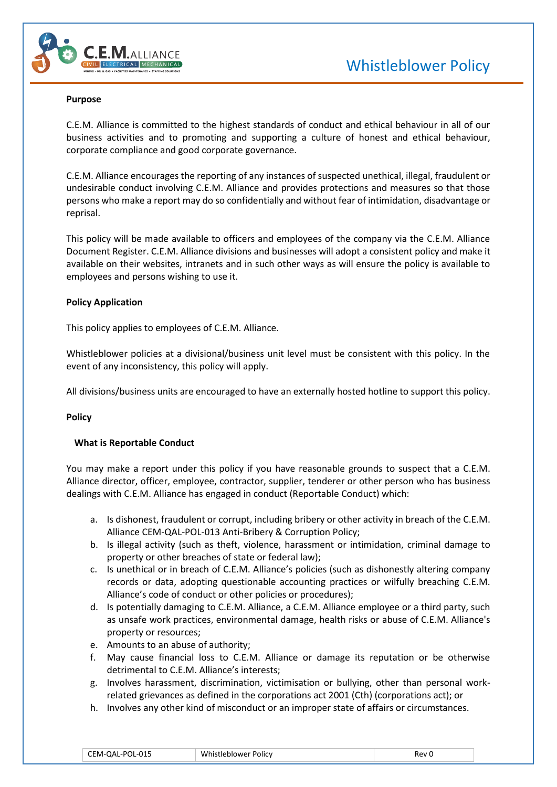



#### **Purpose**

C.E.M. Alliance is committed to the highest standards of conduct and ethical behaviour in all of our business activities and to promoting and supporting a culture of honest and ethical behaviour, corporate compliance and good corporate governance.

C.E.M. Alliance encourages the reporting of any instances of suspected unethical, illegal, fraudulent or undesirable conduct involving C.E.M. Alliance and provides protections and measures so that those persons who make a report may do so confidentially and without fear of intimidation, disadvantage or reprisal.

This policy will be made available to officers and employees of the company via the C.E.M. Alliance Document Register. C.E.M. Alliance divisions and businesses will adopt a consistent policy and make it available on their websites, intranets and in such other ways as will ensure the policy is available to employees and persons wishing to use it.

#### **Policy Application**

This policy applies to employees of C.E.M. Alliance.

Whistleblower policies at a divisional/business unit level must be consistent with this policy. In the event of any inconsistency, this policy will apply.

All divisions/business units are encouraged to have an externally hosted hotline to support this policy.

#### **Policy**

## **What is Reportable Conduct**

You may make a report under this policy if you have reasonable grounds to suspect that a C.E.M. Alliance director, officer, employee, contractor, supplier, tenderer or other person who has business dealings with C.E.M. Alliance has engaged in conduct (Reportable Conduct) which:

- a. Is dishonest, fraudulent or corrupt, including bribery or other activity in breach of the C.E.M. Alliance CEM-QAL-POL-013 Anti-Bribery & Corruption Policy;
- b. Is illegal activity (such as theft, violence, harassment or intimidation, criminal damage to property or other breaches of state or federal law);
- c. Is unethical or in breach of C.E.M. Alliance's policies (such as dishonestly altering company records or data, adopting questionable accounting practices or wilfully breaching C.E.M. Alliance's code of conduct or other policies or procedures);
- d. Is potentially damaging to C.E.M. Alliance, a C.E.M. Alliance employee or a third party, such as unsafe work practices, environmental damage, health risks or abuse of C.E.M. Alliance's property or resources;
- e. Amounts to an abuse of authority;
- f. May cause financial loss to C.E.M. Alliance or damage its reputation or be otherwise detrimental to C.E.M. Alliance's interests;
- g. Involves harassment, discrimination, victimisation or bullying, other than personal workrelated grievances as defined in the corporations act 2001 (Cth) (corporations act); or
- h. Involves any other kind of misconduct or an improper state of affairs or circumstances.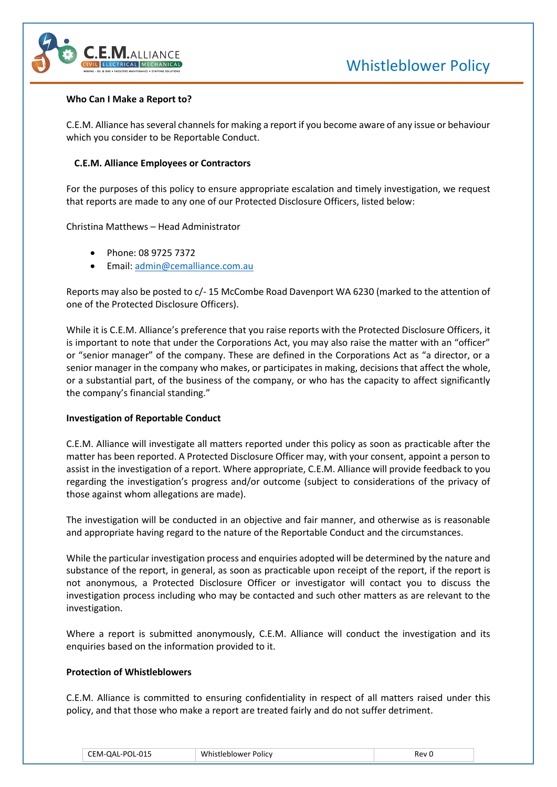

#### **Who Can I Make a Report to?**

C.E.M. Alliance has several channels for making a report if you become aware of any issue or behaviour which you consider to be Reportable Conduct.

### **C.E.M. Alliance Employees or Contractors**

For the purposes of this policy to ensure appropriate escalation and timely investigation, we request that reports are made to any one of our Protected Disclosure Officers, listed below:

Christina Matthews – Head Administrator

- Phone: 08 9725 7372
- Email: [admin@cemalliance.com.au](mailto:admin@cemalliance.com.au)

Reports may also be posted to c/- 15 McCombe Road Davenport WA 6230 (marked to the attention of one of the Protected Disclosure Officers).

While it is C.E.M. Alliance's preference that you raise reports with the Protected Disclosure Officers, it is important to note that under the Corporations Act, you may also raise the matter with an "officer" or "senior manager" of the company. These are defined in the Corporations Act as "a director, or a senior manager in the company who makes, or participates in making, decisions that affect the whole, or a substantial part, of the business of the company, or who has the capacity to affect significantly the company's financial standing."

## **Investigation of Reportable Conduct**

C.E.M. Alliance will investigate all matters reported under this policy as soon as practicable after the matter has been reported. A Protected Disclosure Officer may, with your consent, appoint a person to assist in the investigation of a report. Where appropriate, C.E.M. Alliance will provide feedback to you regarding the investigation's progress and/or outcome (subject to considerations of the privacy of those against whom allegations are made).

The investigation will be conducted in an objective and fair manner, and otherwise as is reasonable and appropriate having regard to the nature of the Reportable Conduct and the circumstances.

While the particular investigation process and enquiries adopted will be determined by the nature and substance of the report, in general, as soon as practicable upon receipt of the report, if the report is not anonymous, a Protected Disclosure Officer or investigator will contact you to discuss the investigation process including who may be contacted and such other matters as are relevant to the investigation.

Where a report is submitted anonymously, C.E.M. Alliance will conduct the investigation and its enquiries based on the information provided to it.

### **Protection of Whistleblowers**

C.E.M. Alliance is committed to ensuring confidentiality in respect of all matters raised under this policy, and that those who make a report are treated fairly and do not suffer detriment.

| CEM-QAL-POL-015 | Whistleblower Policy | Rev |
|-----------------|----------------------|-----|
|-----------------|----------------------|-----|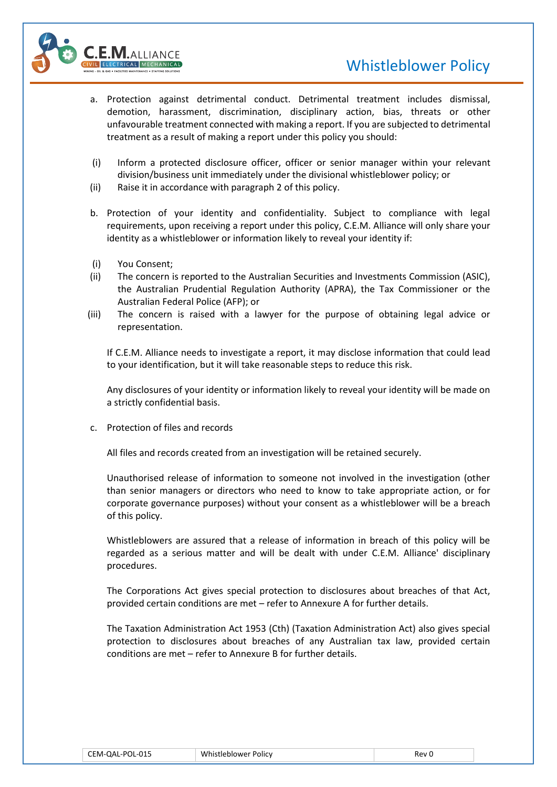



- a. Protection against detrimental conduct. Detrimental treatment includes dismissal, demotion, harassment, discrimination, disciplinary action, bias, threats or other unfavourable treatment connected with making a report. If you are subjected to detrimental treatment as a result of making a report under this policy you should:
- (i) Inform a protected disclosure officer, officer or senior manager within your relevant division/business unit immediately under the divisional whistleblower policy; or
- (ii) Raise it in accordance with paragraph 2 of this policy.
- b. Protection of your identity and confidentiality. Subject to compliance with legal requirements, upon receiving a report under this policy, C.E.M. Alliance will only share your identity as a whistleblower or information likely to reveal your identity if:
- (i) You Consent;
- (ii) The concern is reported to the Australian Securities and Investments Commission (ASIC), the Australian Prudential Regulation Authority (APRA), the Tax Commissioner or the Australian Federal Police (AFP); or
- (iii) The concern is raised with a lawyer for the purpose of obtaining legal advice or representation.

If C.E.M. Alliance needs to investigate a report, it may disclose information that could lead to your identification, but it will take reasonable steps to reduce this risk.

Any disclosures of your identity or information likely to reveal your identity will be made on a strictly confidential basis.

c. Protection of files and records

All files and records created from an investigation will be retained securely.

Unauthorised release of information to someone not involved in the investigation (other than senior managers or directors who need to know to take appropriate action, or for corporate governance purposes) without your consent as a whistleblower will be a breach of this policy.

Whistleblowers are assured that a release of information in breach of this policy will be regarded as a serious matter and will be dealt with under C.E.M. Alliance' disciplinary procedures.

The Corporations Act gives special protection to disclosures about breaches of that Act, provided certain conditions are met – refer to Annexure A for further details.

The Taxation Administration Act 1953 (Cth) (Taxation Administration Act) also gives special protection to disclosures about breaches of any Australian tax law, provided certain conditions are met – refer to Annexure B for further details.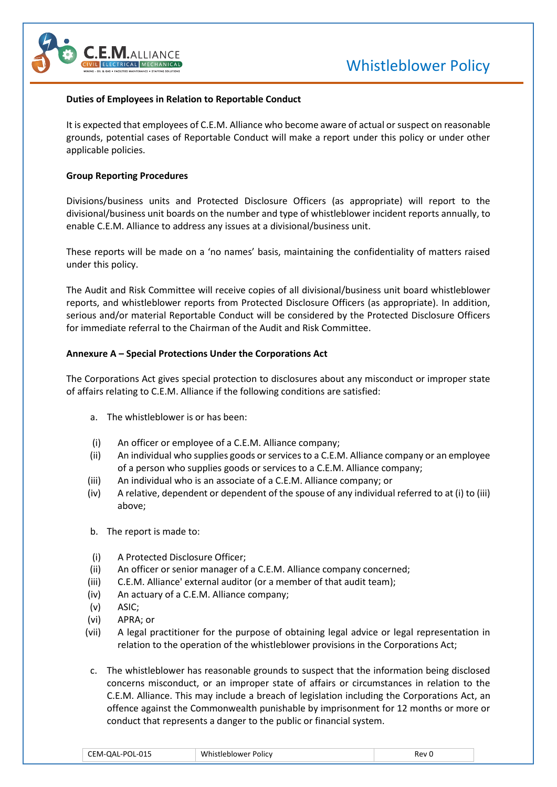



#### **Duties of Employees in Relation to Reportable Conduct**

It is expected that employees of C.E.M. Alliance who become aware of actual or suspect on reasonable grounds, potential cases of Reportable Conduct will make a report under this policy or under other applicable policies.

### **Group Reporting Procedures**

Divisions/business units and Protected Disclosure Officers (as appropriate) will report to the divisional/business unit boards on the number and type of whistleblower incident reports annually, to enable C.E.M. Alliance to address any issues at a divisional/business unit.

These reports will be made on a 'no names' basis, maintaining the confidentiality of matters raised under this policy.

The Audit and Risk Committee will receive copies of all divisional/business unit board whistleblower reports, and whistleblower reports from Protected Disclosure Officers (as appropriate). In addition, serious and/or material Reportable Conduct will be considered by the Protected Disclosure Officers for immediate referral to the Chairman of the Audit and Risk Committee.

### **Annexure A – Special Protections Under the Corporations Act**

The Corporations Act gives special protection to disclosures about any misconduct or improper state of affairs relating to C.E.M. Alliance if the following conditions are satisfied:

- a. The whistleblower is or has been:
- (i) An officer or employee of a C.E.M. Alliance company;
- (ii) An individual who supplies goods or services to a C.E.M. Alliance company or an employee of a person who supplies goods or services to a C.E.M. Alliance company;
- (iii) An individual who is an associate of a C.E.M. Alliance company; or
- (iv) A relative, dependent or dependent of the spouse of any individual referred to at (i) to (iii) above;
- b. The report is made to:
- (i) A Protected Disclosure Officer;
- (ii) An officer or senior manager of a C.E.M. Alliance company concerned;
- (iii) C.E.M. Alliance' external auditor (or a member of that audit team);
- (iv) An actuary of a C.E.M. Alliance company;
- (v) ASIC;
- (vi) APRA; or
- (vii) A legal practitioner for the purpose of obtaining legal advice or legal representation in relation to the operation of the whistleblower provisions in the Corporations Act;
- c. The whistleblower has reasonable grounds to suspect that the information being disclosed concerns misconduct, or an improper state of affairs or circumstances in relation to the C.E.M. Alliance. This may include a breach of legislation including the Corporations Act, an offence against the Commonwealth punishable by imprisonment for 12 months or more or conduct that represents a danger to the public or financial system.

| CEM-QAL-POL-015 | Whistleblower Policy | Rev I |
|-----------------|----------------------|-------|
|-----------------|----------------------|-------|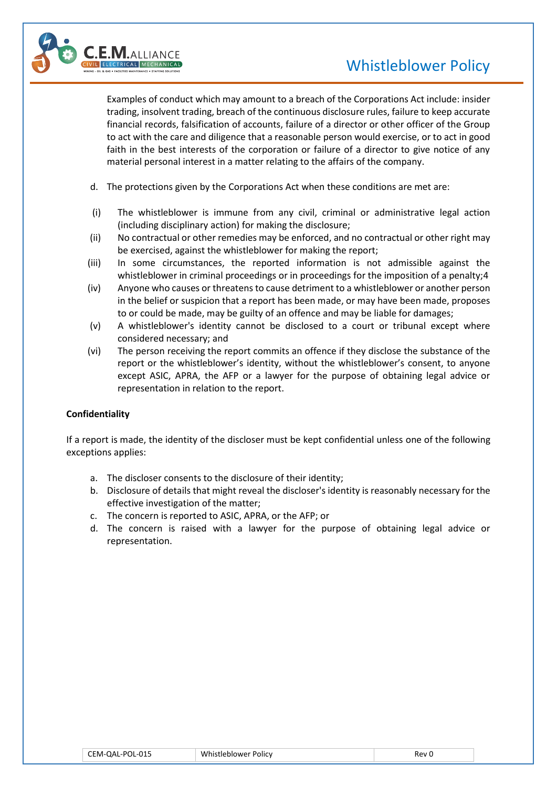# Whistleblower Policy



Examples of conduct which may amount to a breach of the Corporations Act include: insider trading, insolvent trading, breach of the continuous disclosure rules, failure to keep accurate financial records, falsification of accounts, failure of a director or other officer of the Group to act with the care and diligence that a reasonable person would exercise, or to act in good faith in the best interests of the corporation or failure of a director to give notice of any material personal interest in a matter relating to the affairs of the company.

- d. The protections given by the Corporations Act when these conditions are met are:
- (i) The whistleblower is immune from any civil, criminal or administrative legal action (including disciplinary action) for making the disclosure;
- (ii) No contractual or other remedies may be enforced, and no contractual or other right may be exercised, against the whistleblower for making the report;
- (iii) In some circumstances, the reported information is not admissible against the whistleblower in criminal proceedings or in proceedings for the imposition of a penalty;4
- (iv) Anyone who causes or threatens to cause detriment to a whistleblower or another person in the belief or suspicion that a report has been made, or may have been made, proposes to or could be made, may be guilty of an offence and may be liable for damages;
- (v) A whistleblower's identity cannot be disclosed to a court or tribunal except where considered necessary; and
- (vi) The person receiving the report commits an offence if they disclose the substance of the report or the whistleblower's identity, without the whistleblower's consent, to anyone except ASIC, APRA, the AFP or a lawyer for the purpose of obtaining legal advice or representation in relation to the report.

## **Confidentiality**

If a report is made, the identity of the discloser must be kept confidential unless one of the following exceptions applies:

- a. The discloser consents to the disclosure of their identity;
- b. Disclosure of details that might reveal the discloser's identity is reasonably necessary for the effective investigation of the matter;
- c. The concern is reported to ASIC, APRA, or the AFP; or
- d. The concern is raised with a lawyer for the purpose of obtaining legal advice or representation.

| CEM-QAL-POL-015 | Whistleblower Policy | ≀ev |
|-----------------|----------------------|-----|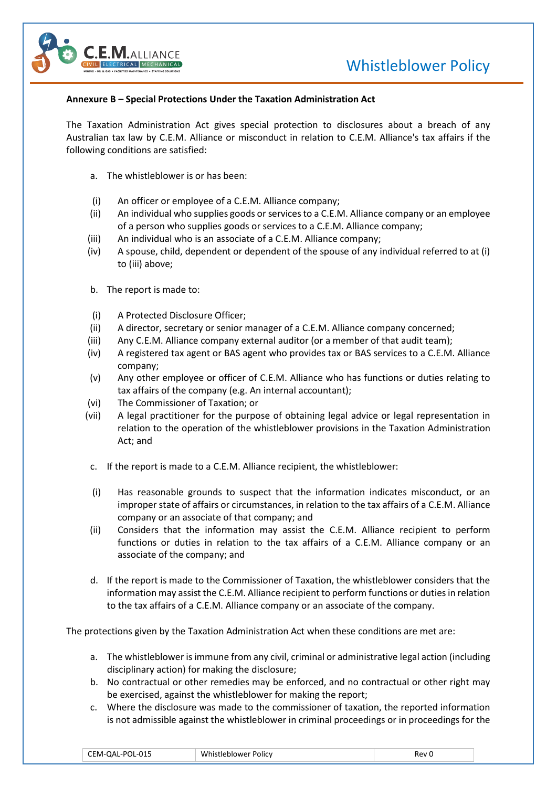

## **Annexure B – Special Protections Under the Taxation Administration Act**

The Taxation Administration Act gives special protection to disclosures about a breach of any Australian tax law by C.E.M. Alliance or misconduct in relation to C.E.M. Alliance's tax affairs if the following conditions are satisfied:

- a. The whistleblower is or has been:
- (i) An officer or employee of a C.E.M. Alliance company;
- (ii) An individual who supplies goods or services to a C.E.M. Alliance company or an employee of a person who supplies goods or services to a C.E.M. Alliance company;
- (iii) An individual who is an associate of a C.E.M. Alliance company;
- (iv) A spouse, child, dependent or dependent of the spouse of any individual referred to at (i) to (iii) above;
- b. The report is made to:
- (i) A Protected Disclosure Officer;
- (ii) A director, secretary or senior manager of a C.E.M. Alliance company concerned;
- (iii) Any C.E.M. Alliance company external auditor (or a member of that audit team);
- (iv) A registered tax agent or BAS agent who provides tax or BAS services to a C.E.M. Alliance company;
- (v) Any other employee or officer of C.E.M. Alliance who has functions or duties relating to tax affairs of the company (e.g. An internal accountant);
- (vi) The Commissioner of Taxation; or
- (vii) A legal practitioner for the purpose of obtaining legal advice or legal representation in relation to the operation of the whistleblower provisions in the Taxation Administration Act; and
- c. If the report is made to a C.E.M. Alliance recipient, the whistleblower:
- (i) Has reasonable grounds to suspect that the information indicates misconduct, or an improper state of affairs or circumstances, in relation to the tax affairs of a C.E.M. Alliance company or an associate of that company; and
- (ii) Considers that the information may assist the C.E.M. Alliance recipient to perform functions or duties in relation to the tax affairs of a C.E.M. Alliance company or an associate of the company; and
- d. If the report is made to the Commissioner of Taxation, the whistleblower considers that the information may assist the C.E.M. Alliance recipient to perform functions or duties in relation to the tax affairs of a C.E.M. Alliance company or an associate of the company.

The protections given by the Taxation Administration Act when these conditions are met are:

- a. The whistleblower is immune from any civil, criminal or administrative legal action (including disciplinary action) for making the disclosure;
- b. No contractual or other remedies may be enforced, and no contractual or other right may be exercised, against the whistleblower for making the report;
- c. Where the disclosure was made to the commissioner of taxation, the reported information is not admissible against the whistleblower in criminal proceedings or in proceedings for the